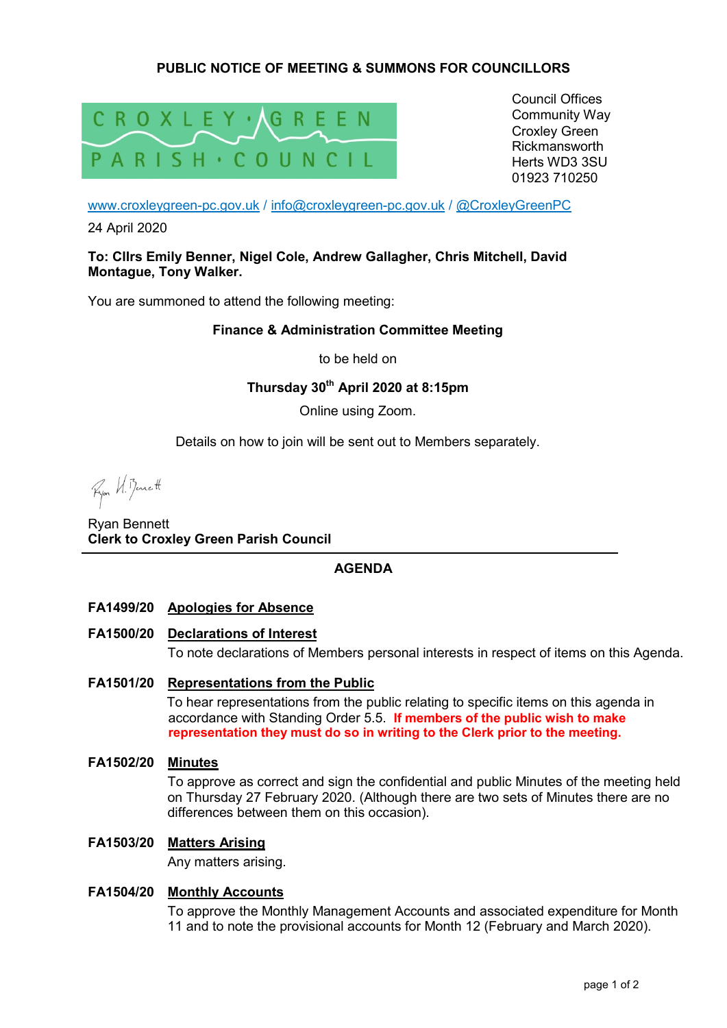# **PUBLIC NOTICE OF MEETING & SUMMONS FOR COUNCILLORS**



Council Offices Community Way Croxley Green Rickmansworth Herts WD3 3SU 01923 710250

www.croxleygreen-pc.gov.uk / info@croxleygreen-pc.gov.uk / @CroxleyGreenPC

24 April 2020

#### **To: Cllrs Emily Benner, Nigel Cole, Andrew Gallagher, Chris Mitchell, David Montague, Tony Walker.**

You are summoned to attend the following meeting:

### **Finance & Administration Committee Meeting**

to be held on

**Thursday 30th April 2020 at 8:15pm** 

Online using Zoom.

Details on how to join will be sent out to Members separately.

Ryon W. Benett

Ryan Bennett **Clerk to Croxley Green Parish Council** 

# **AGENDA**

**FA1499/20 Apologies for Absence** 

#### **FA1500/20 Declarations of Interest**

To note declarations of Members personal interests in respect of items on this Agenda.

## **FA1501/20 Representations from the Public**

To hear representations from the public relating to specific items on this agenda in accordance with Standing Order 5.5. **If members of the public wish to make representation they must do so in writing to the Clerk prior to the meeting.**

**FA1502/20 Minutes** 

To approve as correct and sign the confidential and public Minutes of the meeting held on Thursday 27 February 2020. (Although there are two sets of Minutes there are no differences between them on this occasion).

#### **FA1503/20 Matters Arising**

Any matters arising.

## **FA1504/20 Monthly Accounts**

To approve the Monthly Management Accounts and associated expenditure for Month 11 and to note the provisional accounts for Month 12 (February and March 2020).